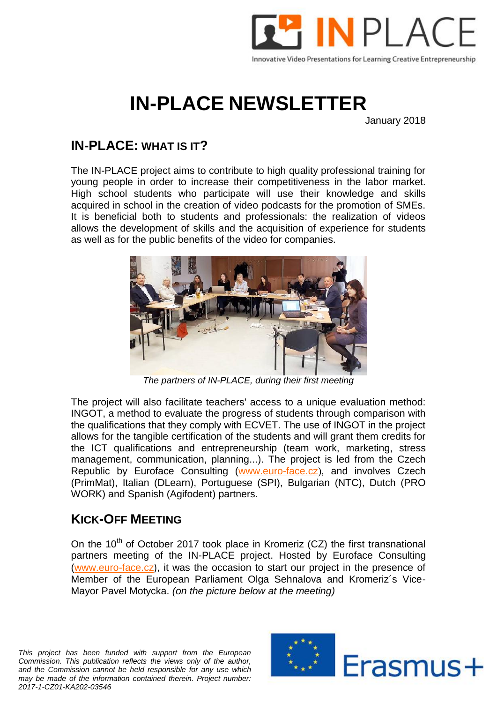

## **IN-PLACE NEWSLETTER**

January 2018

## **IN-PLACE: WHAT IS IT?**

The IN-PLACE project aims to contribute to high quality professional training for young people in order to increase their competitiveness in the labor market. High school students who participate will use their knowledge and skills acquired in school in the creation of video podcasts for the promotion of SMEs. It is beneficial both to students and professionals: the realization of videos allows the development of skills and the acquisition of experience for students as well as for the public benefits of the video for companies.



*The partners of IN-PLACE, during their first meeting*

The project will also facilitate teachers' access to a unique evaluation method: INGOT, a method to evaluate the progress of students through comparison with the qualifications that they comply with ECVET. The use of INGOT in the project allows for the tangible certification of the students and will grant them credits for the ICT qualifications and entrepreneurship (team work, marketing, stress management, communication, planning...). The project is led from the Czech Republic by Euroface Consulting (www.euro-face.cz), and involves Czech (PrimMat), Italian (DLearn), Portuguese (SPI), Bulgarian (NTC), Dutch (PRO WORK) and Spanish (Agifodent) partners.

## **KICK-OFF MEETING**

On the  $10^{th}$  of October 2017 took place in Kromeriz (CZ) the first transnational partners meeting of the IN-PLACE project. Hosted by Euroface Consulting (www.euro-face.cz), it was the occasion to start our project in the presence of Member of the European Parliament Olga Sehnalova and Kromeriz´s Vice- Mayor Pavel Motycka. *(on the picture below at the meeting)*

*This project has been funded with support from the European Commission. This publication reflects the views only of the author, and the Commission cannot be held responsible for any use which may be made of the information contained therein. Project number: 2017-1-CZ01-KA202-03546*